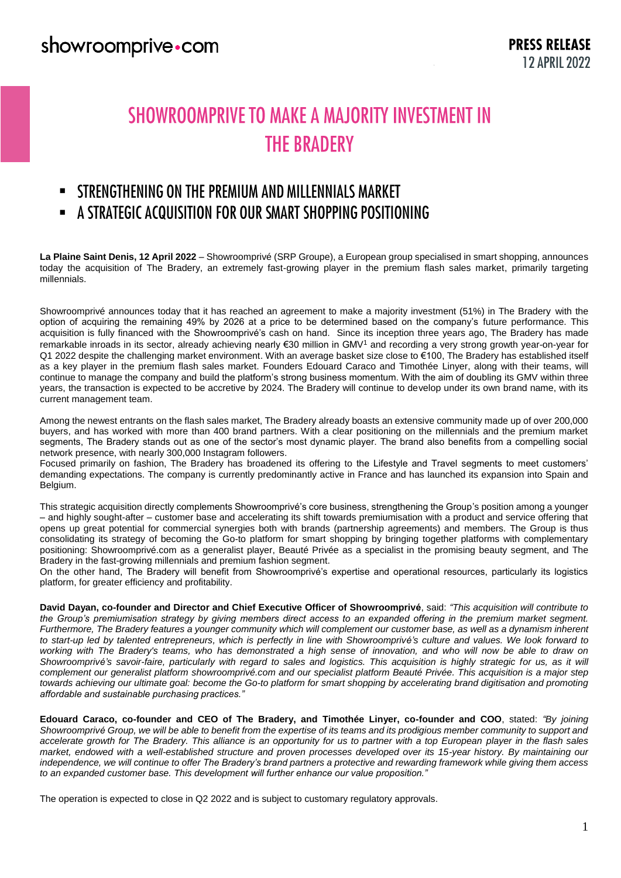#### showroomprive.com

# **SHOWROOMPRIVE TO MAKE A MAJORITY INVESTMENT IN THE BRADERY**

#### STRENGTHENING ON THE PREMIUM AND MILLENNIALS MARKET  $\blacksquare$

#### - A STRATEGIC ACQUISITION FOR OUR SMART SHOPPING POSITIONING

**La Plaine Saint Denis, 12 April 2022** – Showroomprivé (SRP Groupe), a European group specialised in smart shopping, announces today the acquisition of The Bradery, an extremely fast-growing player in the premium flash sales market, primarily targeting millennials.

Showroomprivé announces today that it has reached an agreement to make a majority investment (51%) in The Bradery with the option of acquiring the remaining 49% by 2026 at a price to be determined based on the company's future performance. This acquisition is fully financed with the Showroomprivé's cash on hand. Since its inception three years ago, The Bradery has made remarkable inroads in its sector, already achieving nearly €30 million in GMV<sup>1</sup> and recording a very strong growth year-on-year for Q1 2022 despite the challenging market environment. With an average basket size close to €100, The Bradery has established itself as a key player in the premium flash sales market. Founders Edouard Caraco and Timothée Linyer, along with their teams, will continue to manage the company and build the platform's strong business momentum. With the aim of doubling its GMV within three years, the transaction is expected to be accretive by 2024. The Bradery will continue to develop under its own brand name, with its current management team.

Among the newest entrants on the flash sales market, The Bradery already boasts an extensive community made up of over 200,000 buyers, and has worked with more than 400 brand partners. With a clear positioning on the millennials and the premium market segments, The Bradery stands out as one of the sector's most dynamic player. The brand also benefits from a compelling social network presence, with nearly 300,000 Instagram followers.

Focused primarily on fashion, The Bradery has broadened its offering to the Lifestyle and Travel segments to meet customers' demanding expectations. The company is currently predominantly active in France and has launched its expansion into Spain and Belgium.

This strategic acquisition directly complements Showroomprivé's core business, strengthening the Group's position among a younger – and highly sought-after – customer base and accelerating its shift towards premiumisation with a product and service offering that opens up great potential for commercial synergies both with brands (partnership agreements) and members. The Group is thus consolidating its strategy of becoming the Go-to platform for smart shopping by bringing together platforms with complementary positioning: Showroomprivé.com as a generalist player, Beauté Privée as a specialist in the promising beauty segment, and The Bradery in the fast-growing millennials and premium fashion segment.

On the other hand, The Bradery will benefit from Showroomprivé's expertise and operational resources, particularly its logistics platform, for greater efficiency and profitability.

**David Dayan, co-founder and Director and Chief Executive Officer of Showroomprivé**, said: *"This acquisition will contribute to the Group's premiumisation strategy by giving members direct access to an expanded offering in the premium market segment. Furthermore, The Bradery features a younger community which will complement our customer base, as well as a dynamism inherent to start-up led by talented entrepreneurs, which is perfectly in line with Showroomprivé's culture and values. We look forward to working with The Bradery's teams, who has demonstrated a high sense of innovation, and who will now be able to draw on Showroomprivé's savoir-faire, particularly with regard to sales and logistics. This acquisition is highly strategic for us, as it will complement our generalist platform showroomprivé.com and our specialist platform Beauté Privée. This acquisition is a major step towards achieving our ultimate goal: become the Go-to platform for smart shopping by accelerating brand digitisation and promoting affordable and sustainable purchasing practices."* 

**Edouard Caraco, co-founder and CEO of The Bradery, and Timothée Linyer, co-founder and COO**, stated: *"By joining Showroomprivé Group, we will be able to benefit from the expertise of its teams and its prodigious member community to support and accelerate growth for The Bradery. This alliance is an opportunity for us to partner with a top European player in the flash sales market, endowed with a well-established structure and proven processes developed over its 15-year history. By maintaining our independence, we will continue to offer The Bradery's brand partners a protective and rewarding framework while giving them access to an expanded customer base. This development will further enhance our value proposition."* 

The operation is expected to close in Q2 2022 and is subject to customary regulatory approvals.